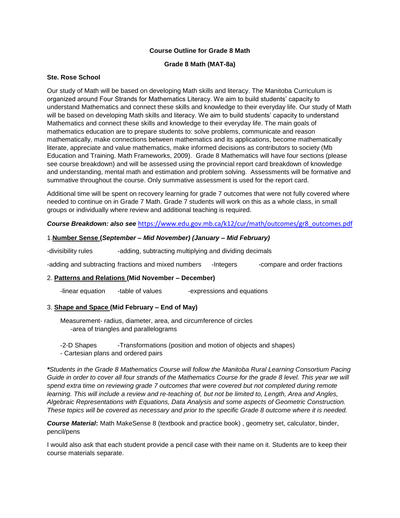# **Course Outline for Grade 8 Math**

### **Grade 8 Math (MAT-8a)**

### **Ste. Rose School**

Our study of Math will be based on developing Math skills and literacy. The Manitoba Curriculum is organized around Four Strands for Mathematics Literacy. We aim to build students' capacity to understand Mathematics and connect these skills and knowledge to their everyday life. Our study of Math will be based on developing Math skills and literacy. We aim to build students' capacity to understand Mathematics and connect these skills and knowledge to their everyday life. The main goals of mathematics education are to prepare students to: solve problems, communicate and reason mathematically, make connections between mathematics and its applications, become mathematically literate, appreciate and value mathematics, make informed decisions as contributors to society (Mb Education and Training. Math Frameworks, 2009). Grade 8 Mathematics will have four sections (please see course breakdown) and will be assessed using the provincial report card breakdown of knowledge and understanding, mental math and estimation and problem solving. Assessments will be formative and summative throughout the course. Only summative assessment is used for the report card.

Additional time will be spent on recovery learning for grade 7 outcomes that were not fully covered where needed to continue on in Grade 7 Math. Grade 7 students will work on this as a whole class, in small groups or individually where review and additional teaching is required.

## *Course Breakdown: also see* [https://www.edu.gov.mb.ca/k12/cur/math/outcomes/gr8\\_outcomes.pdf](https://www.edu.gov.mb.ca/k12/cur/math/outcomes/gr8_outcomes.pdf)

## 1.**Number Sense (***September – Mid November) (January – Mid February)*

-divisibility rules -adding, subtracting multiplying and dividing decimals

-adding and subtracting fractions and mixed numbers -Integers -compare and order fractions

#### 2. **Patterns and Relations (Mid November – December)**

-linear equation -table of values -expressions and equations

#### 3. **Shape and Space (Mid February – End of May)**

Measurement- radius, diameter, area, and circumference of circles -area of triangles and parallelograms

-2-D Shapes -Transformations (position and motion of objects and shapes) - Cartesian plans and ordered pairs

*\*Students in the Grade 8 Mathematics Course will follow the Manitoba Rural Learning Consortium Pacing Guide in order to cover all four strands of the Mathematics Course for the grade 8 level. This year we will spend extra time on reviewing grade 7 outcomes that were covered but not completed during remote learning. This will include a review and re-teaching of, but not be limited to, Length, Area and Angles, Algebraic Representations with Equations, Data Analysis and some aspects of Geometric Construction. These topics will be covered as necessary and prior to the specific Grade 8 outcome where it is needed.* 

*Course Material***:** Math MakeSense 8 (textbook and practice book) , geometry set, calculator, binder, pencil/pens

I would also ask that each student provide a pencil case with their name on it. Students are to keep their course materials separate.